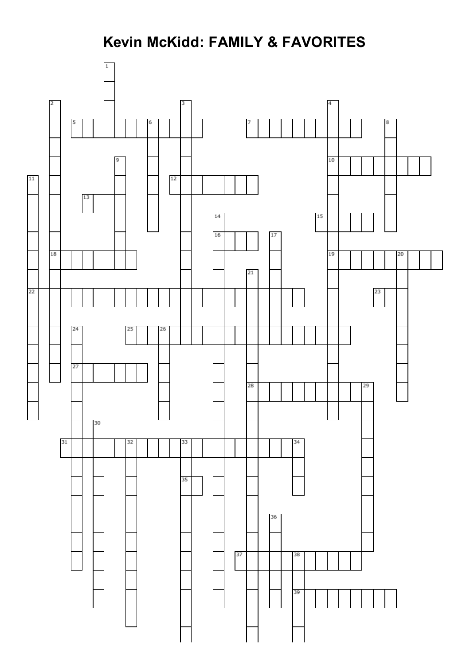## **Kevin McKidd: FAMILY & FAVORITES**